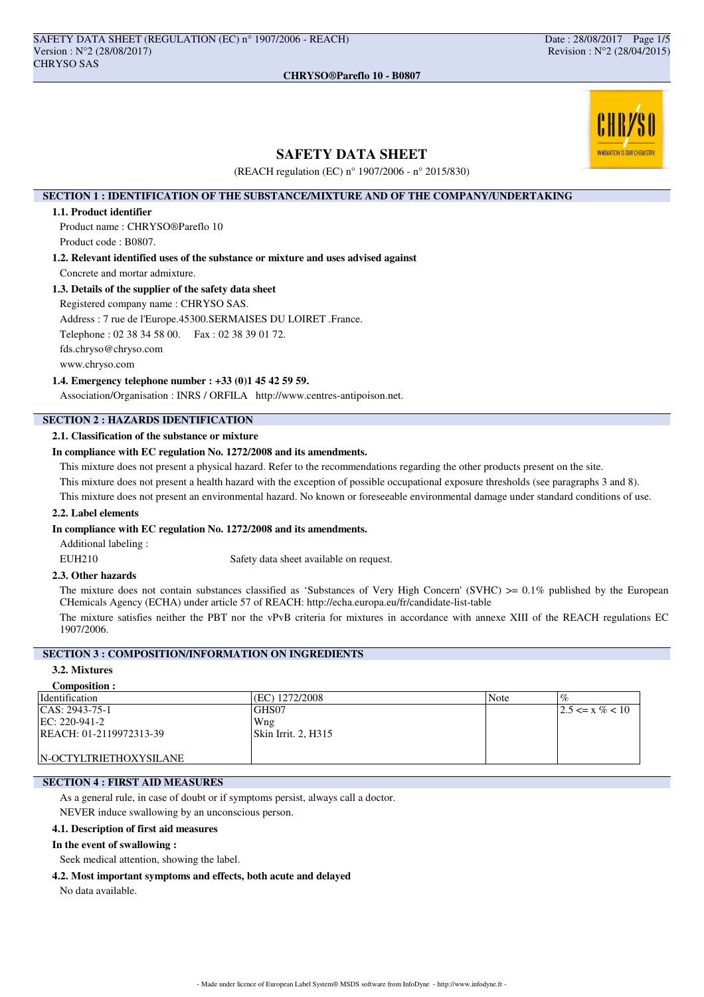

# **SAFETY DATA SHEET**

(REACH regulation (EC) n° 1907/2006 - n° 2015/830)

## **SECTION 1 : IDENTIFICATION OF THE SUBSTANCE/MIXTURE AND OF THE COMPANY/UNDERTAKING**

### **1.1. Product identifier**

Product name : CHRYSO®Pareflo 10 Product code : B0807.

**1.2. Relevant identified uses of the substance or mixture and uses advised against** Concrete and mortar admixture.

## **1.3. Details of the supplier of the safety data sheet**

Registered company name : CHRYSO SAS.

Address : 7 rue de l'Europe.45300.SERMAISES DU LOIRET .France.

Telephone : 02 38 34 58 00. Fax : 02 38 39 01 72.

fds.chryso@chryso.com

www.chryso.com

#### **1.4. Emergency telephone number : +33 (0)1 45 42 59 59.**

Association/Organisation : INRS / ORFILA http://www.centres-antipoison.net.

# **SECTION 2 : HAZARDS IDENTIFICATION**

# **2.1. Classification of the substance or mixture**

## **In compliance with EC regulation No. 1272/2008 and its amendments.**

This mixture does not present a physical hazard. Refer to the recommendations regarding the other products present on the site.

This mixture does not present a health hazard with the exception of possible occupational exposure thresholds (see paragraphs 3 and 8).

This mixture does not present an environmental hazard. No known or foreseeable environmental damage under standard conditions of use.

## **2.2. Label elements**

### **In compliance with EC regulation No. 1272/2008 and its amendments.**

Additional labeling :

EUH210 Safety data sheet available on request.

## **2.3. Other hazards**

The mixture does not contain substances classified as 'Substances of Very High Concern' (SVHC)  $>0.1\%$  published by the European CHemicals Agency (ECHA) under article 57 of REACH: http://echa.europa.eu/fr/candidate-list-table

The mixture satisfies neither the PBT nor the vPvB criteria for mixtures in accordance with annexe XIII of the REACH regulations EC 1907/2006.

# **SECTION 3 : COMPOSITION/INFORMATION ON INGREDIENTS**

#### **3.2. Mixtures Composition :**

| Composition.            |                     |      |                            |
|-------------------------|---------------------|------|----------------------------|
| Identification          | (EC) 1272/2008      | Note | $\overline{\mathcal{G}}_0$ |
| $ CAS: 2943-75-1$       | GHS07               |      | $ 2.5 \le x \% < 10$       |
| EC: 220-941-2           | Wng                 |      |                            |
| REACH: 01-2119972313-39 | Skin Irrit. 2. H315 |      |                            |
|                         |                     |      |                            |
| IN-OCTYLTRIETHOXYSILANE |                     |      |                            |

## **SECTION 4 : FIRST AID MEASURES**

As a general rule, in case of doubt or if symptoms persist, always call a doctor.

NEVER induce swallowing by an unconscious person.

### **4.1. Description of first aid measures**

#### **In the event of swallowing :**

Seek medical attention, showing the label.

**4.2. Most important symptoms and effects, both acute and delayed**

No data available.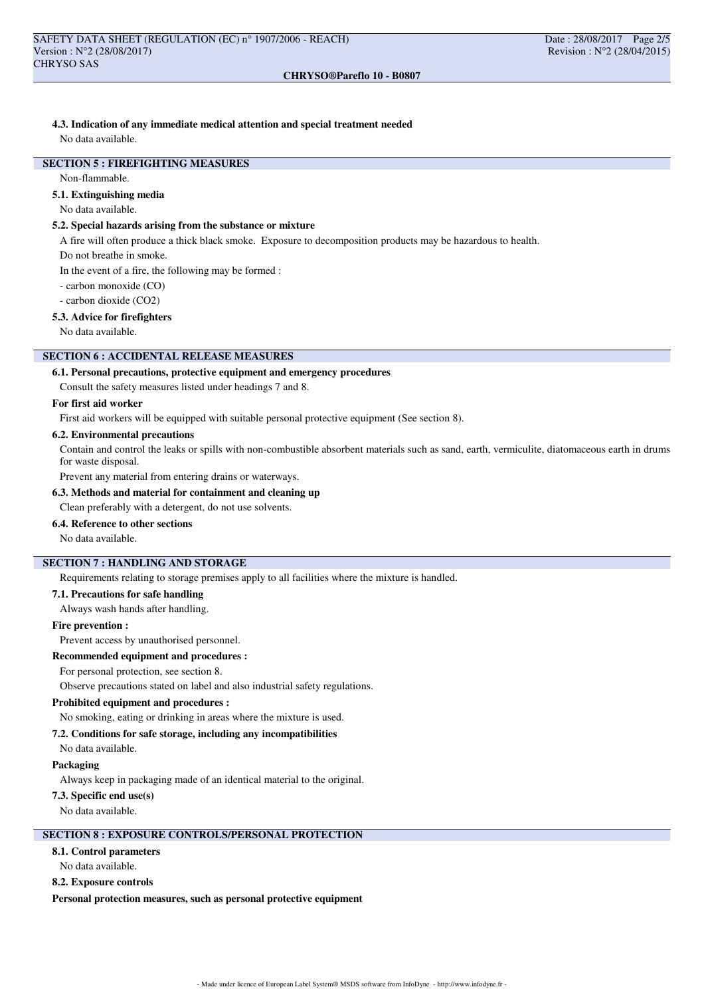### **CHRYSO®Pareflo 10 - B0807**

# **4.3. Indication of any immediate medical attention and special treatment needed**

No data available.

# **SECTION 5 : FIREFIGHTING MEASURES**

Non-flammable.

## **5.1. Extinguishing media**

No data available.

## **5.2. Special hazards arising from the substance or mixture**

A fire will often produce a thick black smoke. Exposure to decomposition products may be hazardous to health.

Do not breathe in smoke.

In the event of a fire, the following may be formed :

- carbon monoxide (CO)

- carbon dioxide (CO2)

## **5.3. Advice for firefighters**

No data available.

## **SECTION 6 : ACCIDENTAL RELEASE MEASURES**

## **6.1. Personal precautions, protective equipment and emergency procedures**

Consult the safety measures listed under headings 7 and 8.

### **For first aid worker**

First aid workers will be equipped with suitable personal protective equipment (See section 8).

#### **6.2. Environmental precautions**

Contain and control the leaks or spills with non-combustible absorbent materials such as sand, earth, vermiculite, diatomaceous earth in drums for waste disposal.

Prevent any material from entering drains or waterways.

## **6.3. Methods and material for containment and cleaning up**

Clean preferably with a detergent, do not use solvents.

## **6.4. Reference to other sections**

No data available.

# **SECTION 7 : HANDLING AND STORAGE**

Requirements relating to storage premises apply to all facilities where the mixture is handled.

#### **7.1. Precautions for safe handling**

Always wash hands after handling.

#### **Fire prevention :**

Prevent access by unauthorised personnel.

### **Recommended equipment and procedures :**

For personal protection, see section 8.

Observe precautions stated on label and also industrial safety regulations.

#### **Prohibited equipment and procedures :**

No smoking, eating or drinking in areas where the mixture is used.

### **7.2. Conditions for safe storage, including any incompatibilities**

No data available.

#### **Packaging**

Always keep in packaging made of an identical material to the original.

### **7.3. Specific end use(s)**

No data available.

# **SECTION 8 : EXPOSURE CONTROLS/PERSONAL PROTECTION**

### **8.1. Control parameters**

No data available.

#### **8.2. Exposure controls**

**Personal protection measures, such as personal protective equipment**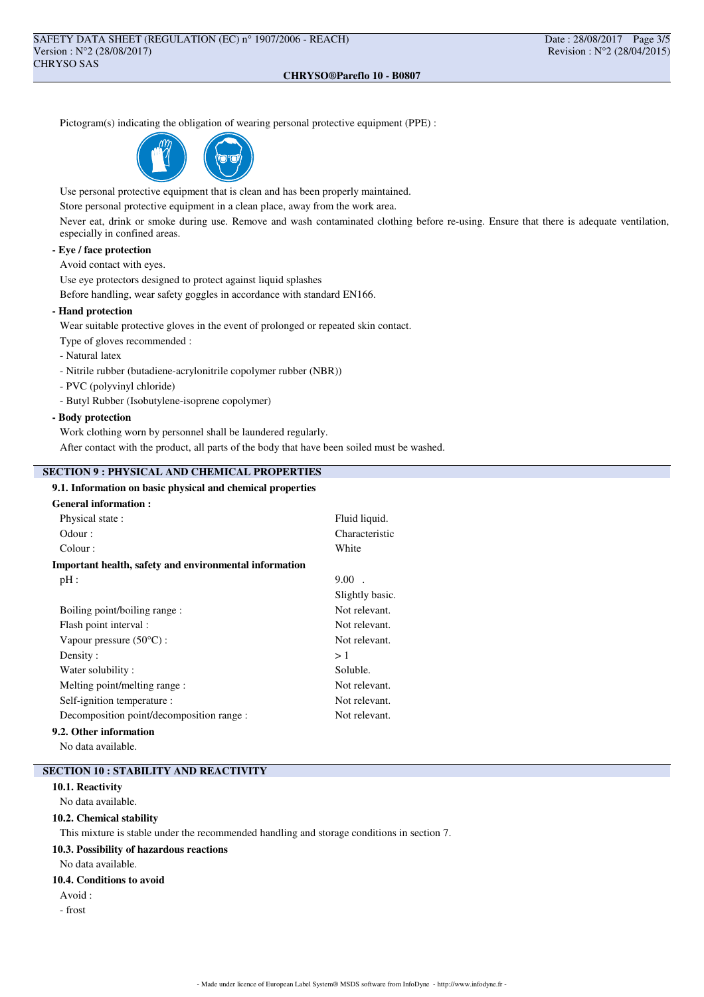### **CHRYSO®Pareflo 10 - B0807**

Pictogram(s) indicating the obligation of wearing personal protective equipment (PPE) :



Use personal protective equipment that is clean and has been properly maintained.

Store personal protective equipment in a clean place, away from the work area.

Never eat, drink or smoke during use. Remove and wash contaminated clothing before re-using. Ensure that there is adequate ventilation, especially in confined areas.

## **- Eye / face protection**

Avoid contact with eyes.

Use eye protectors designed to protect against liquid splashes

Before handling, wear safety goggles in accordance with standard EN166.

## **- Hand protection**

Wear suitable protective gloves in the event of prolonged or repeated skin contact.

Type of gloves recommended :

- Natural latex
- Nitrile rubber (butadiene-acrylonitrile copolymer rubber (NBR))
- PVC (polyvinyl chloride)
- Butyl Rubber (Isobutylene-isoprene copolymer)

## **- Body protection**

Work clothing worn by personnel shall be laundered regularly.

After contact with the product, all parts of the body that have been soiled must be washed.

## **SECTION 9 : PHYSICAL AND CHEMICAL PROPERTIES**

## **9.1. Information on basic physical and chemical properties**

| <b>General information:</b>                            |                 |  |
|--------------------------------------------------------|-----------------|--|
| Physical state:                                        | Fluid liquid.   |  |
| Odour:                                                 | Characteristic  |  |
| Colour:                                                | White           |  |
| Important health, safety and environmental information |                 |  |
| $pH$ :                                                 | $9.00$ .        |  |
|                                                        | Slightly basic. |  |
| Boiling point/boiling range:                           | Not relevant.   |  |
| Flash point interval :                                 | Not relevant.   |  |
| Vapour pressure $(50^{\circ}C)$ :                      | Not relevant.   |  |
| Density:                                               | >1              |  |
| Water solubility:                                      | Soluble.        |  |
| Melting point/melting range:                           | Not relevant.   |  |
| Self-ignition temperature :                            | Not relevant.   |  |
| Decomposition point/decomposition range :              | Not relevant.   |  |
|                                                        |                 |  |

## **9.2. Other information**

No data available.

## **SECTION 10 : STABILITY AND REACTIVITY**

## **10.1. Reactivity**

No data available.

### **10.2. Chemical stability**

This mixture is stable under the recommended handling and storage conditions in section 7.

### **10.3. Possibility of hazardous reactions**

No data available.

### **10.4. Conditions to avoid**

- Avoid :
- frost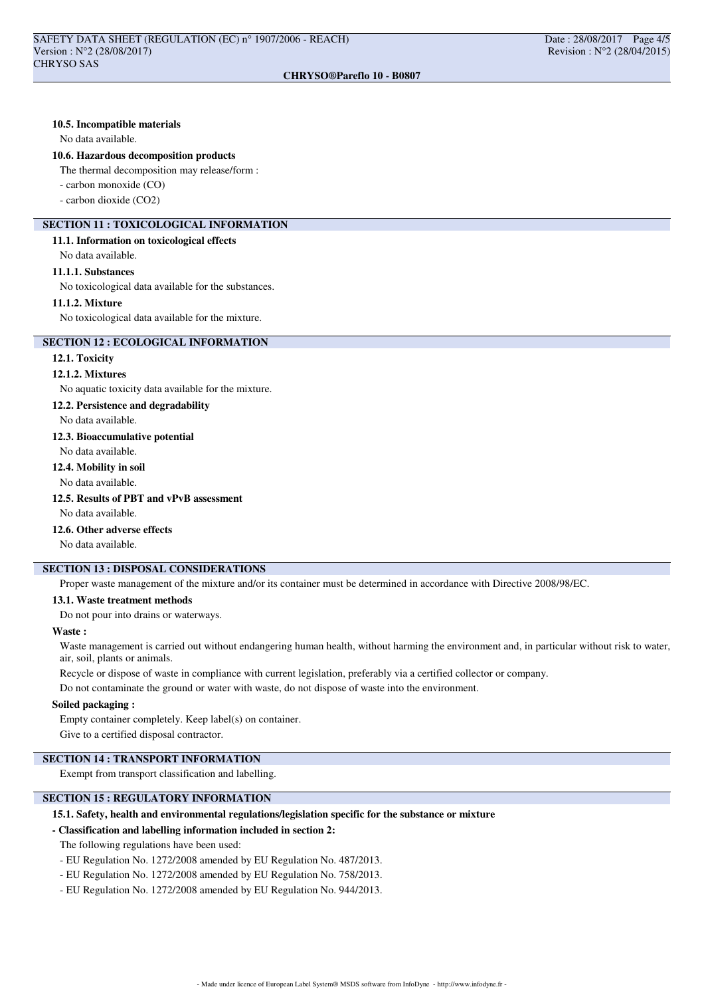### **10.5. Incompatible materials**

No data available.

#### **10.6. Hazardous decomposition products**

The thermal decomposition may release/form :

- carbon monoxide (CO)

- carbon dioxide (CO2)

# **SECTION 11 : TOXICOLOGICAL INFORMATION**

### **11.1. Information on toxicological effects**

No data available.

### **11.1.1. Substances**

No toxicological data available for the substances.

### **11.1.2. Mixture**

No toxicological data available for the mixture.

### **SECTION 12 : ECOLOGICAL INFORMATION**

## **12.1. Toxicity**

#### **12.1.2. Mixtures**

No aquatic toxicity data available for the mixture.

### **12.2. Persistence and degradability**

No data available.

# **12.3. Bioaccumulative potential**

No data available.

#### **12.4. Mobility in soil**

No data available.

## **12.5. Results of PBT and vPvB assessment**

No data available.

## **12.6. Other adverse effects**

No data available.

## **SECTION 13 : DISPOSAL CONSIDERATIONS**

Proper waste management of the mixture and/or its container must be determined in accordance with Directive 2008/98/EC.

## **13.1. Waste treatment methods**

Do not pour into drains or waterways.

#### **Waste :**

Waste management is carried out without endangering human health, without harming the environment and, in particular without risk to water, air, soil, plants or animals.

Recycle or dispose of waste in compliance with current legislation, preferably via a certified collector or company.

Do not contaminate the ground or water with waste, do not dispose of waste into the environment.

## **Soiled packaging :**

Empty container completely. Keep label(s) on container. Give to a certified disposal contractor.

## **SECTION 14 : TRANSPORT INFORMATION**

Exempt from transport classification and labelling.

## **SECTION 15 : REGULATORY INFORMATION**

### **15.1. Safety, health and environmental regulations/legislation specific for the substance or mixture**

#### **- Classification and labelling information included in section 2:**

The following regulations have been used:

- EU Regulation No. 1272/2008 amended by EU Regulation No. 487/2013.
- EU Regulation No. 1272/2008 amended by EU Regulation No. 758/2013.
- EU Regulation No. 1272/2008 amended by EU Regulation No. 944/2013.